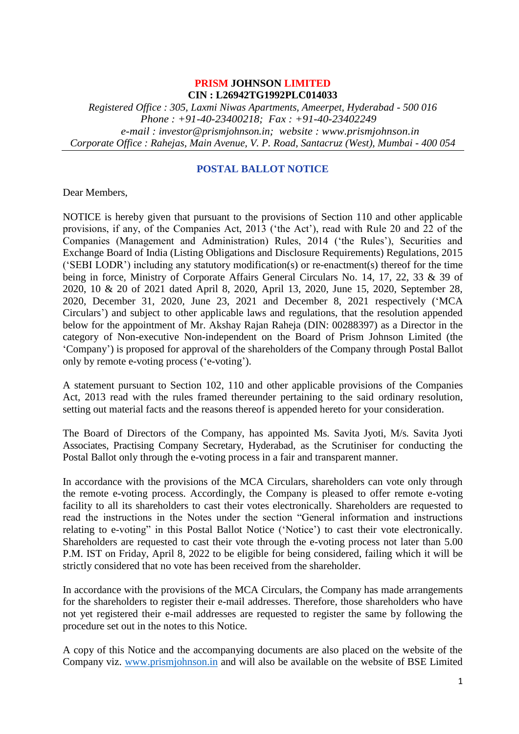# **PRISM JOHNSON LIMITED CIN : L26942TG1992PLC014033**

*Registered Office : 305, Laxmi Niwas Apartments, Ameerpet, Hyderabad - 500 016 Phone : +91-40-23400218; Fax : +91-40-23402249 e-mail : investor@prismjohnson.in; website : www.prismjohnson.in Corporate Office : Rahejas, Main Avenue, V. P. Road, Santacruz (West), Mumbai - 400 054*

# **POSTAL BALLOT NOTICE**

Dear Members,

NOTICE is hereby given that pursuant to the provisions of Section 110 and other applicable provisions, if any, of the Companies Act, 2013 ('the Act'), read with Rule 20 and 22 of the Companies (Management and Administration) Rules, 2014 ('the Rules'), Securities and Exchange Board of India (Listing Obligations and Disclosure Requirements) Regulations, 2015 ('SEBI LODR') including any statutory modification(s) or re-enactment(s) thereof for the time being in force, Ministry of Corporate Affairs General Circulars No. 14, 17, 22, 33 & 39 of 2020, 10 & 20 of 2021 dated April 8, 2020, April 13, 2020, June 15, 2020, September 28, 2020, December 31, 2020, June 23, 2021 and December 8, 2021 respectively ('MCA Circulars') and subject to other applicable laws and regulations, that the resolution appended below for the appointment of Mr. Akshay Rajan Raheja (DIN: 00288397) as a Director in the category of Non-executive Non-independent on the Board of Prism Johnson Limited (the 'Company') is proposed for approval of the shareholders of the Company through Postal Ballot only by remote e-voting process ('e-voting').

A statement pursuant to Section 102, 110 and other applicable provisions of the Companies Act, 2013 read with the rules framed thereunder pertaining to the said ordinary resolution, setting out material facts and the reasons thereof is appended hereto for your consideration.

The Board of Directors of the Company, has appointed Ms. Savita Jyoti, M/s. Savita Jyoti Associates, Practising Company Secretary, Hyderabad, as the Scrutiniser for conducting the Postal Ballot only through the e-voting process in a fair and transparent manner.

In accordance with the provisions of the MCA Circulars, shareholders can vote only through the remote e-voting process. Accordingly, the Company is pleased to offer remote e-voting facility to all its shareholders to cast their votes electronically. Shareholders are requested to read the instructions in the Notes under the section "General information and instructions relating to e-voting" in this Postal Ballot Notice ('Notice') to cast their vote electronically. Shareholders are requested to cast their vote through the e-voting process not later than 5.00 P.M. IST on Friday, April 8, 2022 to be eligible for being considered, failing which it will be strictly considered that no vote has been received from the shareholder.

In accordance with the provisions of the MCA Circulars, the Company has made arrangements for the shareholders to register their e-mail addresses. Therefore, those shareholders who have not yet registered their e-mail addresses are requested to register the same by following the procedure set out in the notes to this Notice.

A copy of this Notice and the accompanying documents are also placed on the website of the Company viz. [www.prismjohnson.in](http://www.prismjohnson.in/) and will also be available on the website of BSE Limited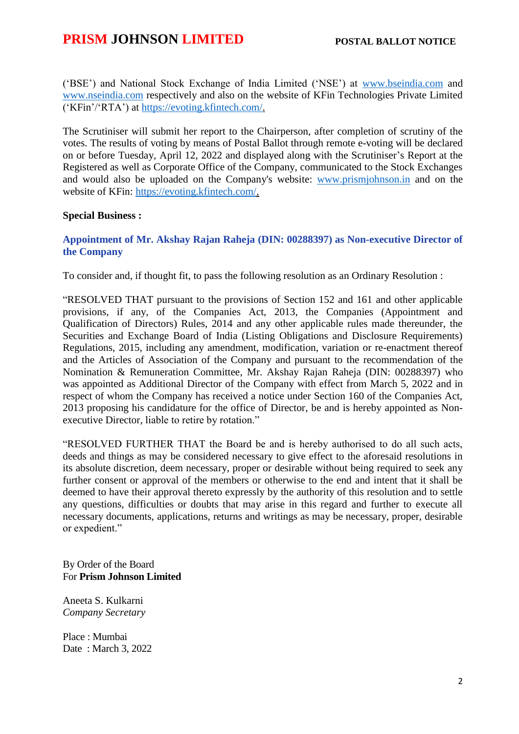('BSE') and National Stock Exchange of India Limited ('NSE') at [www.bseindia.com](http://www.bseindia.com/) and [www.nseindia.com](http://www.nseindia.com/) respectively and also on the website of KFin Technologies Private Limited ('KFin'/'RTA') at [https://evoting.kfintech.com/.](https://evoting.kfintech.com/)

The Scrutiniser will submit her report to the Chairperson, after completion of scrutiny of the votes. The results of voting by means of Postal Ballot through remote e-voting will be declared on or before Tuesday, April 12, 2022 and displayed along with the Scrutiniser's Report at the Registered as well as Corporate Office of the Company, communicated to the Stock Exchanges and would also be uploaded on the Company's website: [www.prismjohnson.in](http://www.prismjohnson.in/) and on the website of KFin: [https://evoting.kfintech.com/.](https://evoting.kfintech.com/)

## **Special Business :**

# **Appointment of Mr. Akshay Rajan Raheja (DIN: 00288397) as Non-executive Director of the Company**

To consider and, if thought fit, to pass the following resolution as an Ordinary Resolution :

"RESOLVED THAT pursuant to the provisions of Section 152 and 161 and other applicable provisions, if any, of the Companies Act, 2013, the Companies (Appointment and Qualification of Directors) Rules, 2014 and any other applicable rules made thereunder, the Securities and Exchange Board of India (Listing Obligations and Disclosure Requirements) Regulations, 2015, including any amendment, modification, variation or re-enactment thereof and the Articles of Association of the Company and pursuant to the recommendation of the Nomination & Remuneration Committee, Mr. Akshay Rajan Raheja (DIN: 00288397) who was appointed as Additional Director of the Company with effect from March 5, 2022 and in respect of whom the Company has received a notice under Section 160 of the Companies Act, 2013 proposing his candidature for the office of Director, be and is hereby appointed as Nonexecutive Director, liable to retire by rotation."

"RESOLVED FURTHER THAT the Board be and is hereby authorised to do all such acts, deeds and things as may be considered necessary to give effect to the aforesaid resolutions in its absolute discretion, deem necessary, proper or desirable without being required to seek any further consent or approval of the members or otherwise to the end and intent that it shall be deemed to have their approval thereto expressly by the authority of this resolution and to settle any questions, difficulties or doubts that may arise in this regard and further to execute all necessary documents, applications, returns and writings as may be necessary, proper, desirable or expedient."

By Order of the Board For **Prism Johnson Limited**

Aneeta S. Kulkarni *Company Secretary*

Place : Mumbai Date : March 3, 2022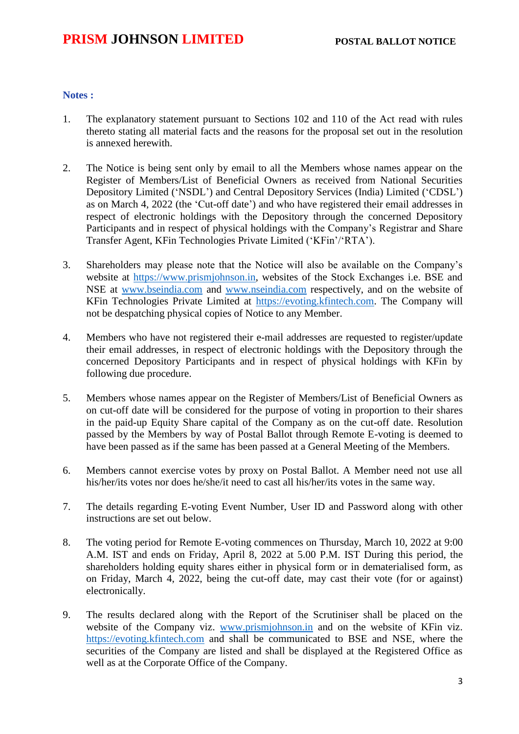## **Notes :**

- 1. The explanatory statement pursuant to Sections 102 and 110 of the Act read with rules thereto stating all material facts and the reasons for the proposal set out in the resolution is annexed herewith.
- 2. The Notice is being sent only by email to all the Members whose names appear on the Register of Members/List of Beneficial Owners as received from National Securities Depository Limited ('NSDL') and Central Depository Services (India) Limited ('CDSL') as on March 4, 2022 (the 'Cut-off date') and who have registered their email addresses in respect of electronic holdings with the Depository through the concerned Depository Participants and in respect of physical holdings with the Company's Registrar and Share Transfer Agent, KFin Technologies Private Limited ('KFin'/'RTA').
- 3. Shareholders may please note that the Notice will also be available on the Company's website at [https://www.prismjohnson.in,](https://www.prismjohnson.in/) websites of the Stock Exchanges i.e. BSE and NSE at [www.bseindia.com](http://www.bseindia.com/) and [www.nseindia.com](http://www.nseindia.com/) respectively, and on the website of KFin Technologies Private Limited at [https://evoting.kfintech.com.](https://evoting.kfintech.com/) The Company will not be despatching physical copies of Notice to any Member.
- 4. Members who have not registered their e-mail addresses are requested to register/update their email addresses, in respect of electronic holdings with the Depository through the concerned Depository Participants and in respect of physical holdings with KFin by following due procedure.
- 5. Members whose names appear on the Register of Members/List of Beneficial Owners as on cut-off date will be considered for the purpose of voting in proportion to their shares in the paid-up Equity Share capital of the Company as on the cut-off date. Resolution passed by the Members by way of Postal Ballot through Remote E-voting is deemed to have been passed as if the same has been passed at a General Meeting of the Members.
- 6. Members cannot exercise votes by proxy on Postal Ballot. A Member need not use all his/her/its votes nor does he/she/it need to cast all his/her/its votes in the same way.
- 7. The details regarding E-voting Event Number, User ID and Password along with other instructions are set out below.
- 8. The voting period for Remote E-voting commences on Thursday, March 10, 2022 at 9:00 A.M. IST and ends on Friday, April 8, 2022 at 5.00 P.M. IST During this period, the shareholders holding equity shares either in physical form or in dematerialised form, as on Friday, March 4, 2022, being the cut-off date, may cast their vote (for or against) electronically.
- 9. The results declared along with the Report of the Scrutiniser shall be placed on the website of the Company viz. [www.prismjohnson.in](http://www.prismjohnson.in/) and on the website of KFin viz. [https://evoting.kfintech.com](https://evoting.kfintech.com/) and shall be communicated to BSE and NSE, where the securities of the Company are listed and shall be displayed at the Registered Office as well as at the Corporate Office of the Company.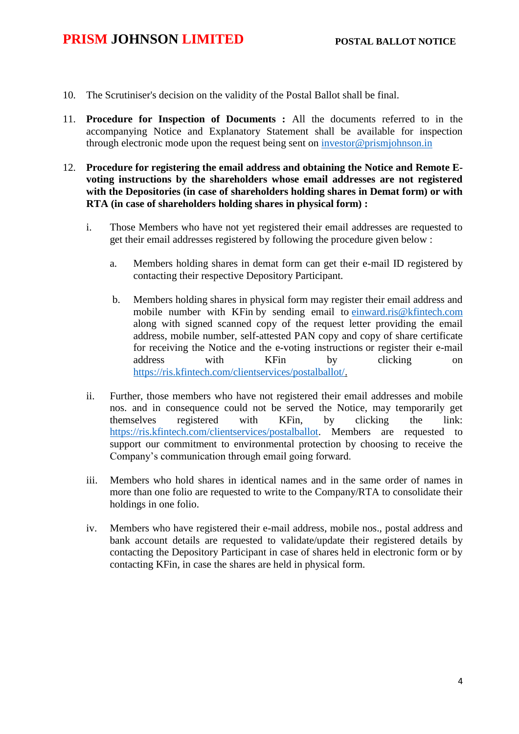- 10. The Scrutiniser's decision on the validity of the Postal Ballot shall be final.
- 11. **Procedure for Inspection of Documents :** All the documents referred to in the accompanying Notice and Explanatory Statement shall be available for inspection through electronic mode upon the request being sent on [investor@prismjohnson.in](mailto:investor@prismjohnson.in)
- 12. **Procedure for registering the email address and obtaining the Notice and Remote Evoting instructions by the shareholders whose email addresses are not registered with the Depositories (in case of shareholders holding shares in Demat form) or with RTA (in case of shareholders holding shares in physical form) :**
	- i. Those Members who have not yet registered their email addresses are requested to get their email addresses registered by following the procedure given below :
		- a. Members holding shares in demat form can get their e-mail ID registered by contacting their respective Depository Participant.
		- b. Members holding shares in physical form may register their email address and mobile number with KFin by sending email to [einward.ris@kfintech.com](mailto:einward.ris@kfintech.com) along with signed scanned copy of the request letter providing the email address, mobile number, self-attested PAN copy and copy of share certificate for receiving the Notice and the e-voting instructions or register their e-mail address with KFin by clicking on [https://ris.kfintech.com/clientservices/postalballot/.](https://ris.kfintech.com/clientservices/postalballot/)
	- ii. Further, those members who have not registered their email addresses and mobile nos. and in consequence could not be served the Notice, may temporarily get themselves registered with KFin, by clicking the link: [https://ris.kfintech.com/clientservices/postalballot.](https://ris.kfintech.com/clientservices/postalballot) Members are requested to support our commitment to environmental protection by choosing to receive the Company's communication through email going forward.
	- iii. Members who hold shares in identical names and in the same order of names in more than one folio are requested to write to the Company/RTA to consolidate their holdings in one folio.
	- iv. Members who have registered their e-mail address, mobile nos., postal address and bank account details are requested to validate/update their registered details by contacting the Depository Participant in case of shares held in electronic form or by contacting KFin, in case the shares are held in physical form.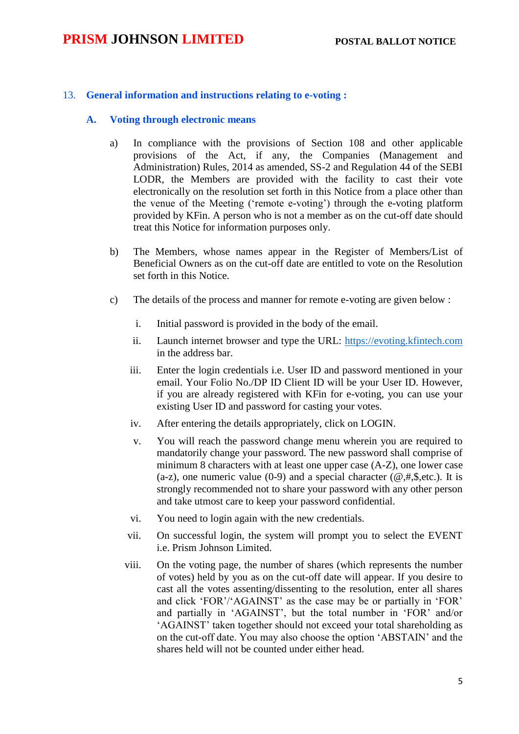# 13. **General information and instructions relating to e-voting :**

## **A. Voting through electronic means**

- a) In compliance with the provisions of Section 108 and other applicable provisions of the Act, if any, the Companies (Management and Administration) Rules, 2014 as amended, SS-2 and Regulation 44 of the SEBI LODR, the Members are provided with the facility to cast their vote electronically on the resolution set forth in this Notice from a place other than the venue of the Meeting ('remote e-voting') through the e-voting platform provided by KFin. A person who is not a member as on the cut-off date should treat this Notice for information purposes only.
- b) The Members, whose names appear in the Register of Members/List of Beneficial Owners as on the cut-off date are entitled to vote on the Resolution set forth in this Notice.
- c) The details of the process and manner for remote e-voting are given below :
	- i. Initial password is provided in the body of the email.
	- ii. Launch internet browser and type the URL: [https://evoting.kfintech.com](https://evoting.kfintech.com/) in the address bar.
	- iii. Enter the login credentials i.e. User ID and password mentioned in your email. Your Folio No./DP ID Client ID will be your User ID. However, if you are already registered with KFin for e-voting, you can use your existing User ID and password for casting your votes.
	- iv. After entering the details appropriately, click on LOGIN.
	- v. You will reach the password change menu wherein you are required to mandatorily change your password. The new password shall comprise of minimum 8 characters with at least one upper case (A-Z), one lower case (a-z), one numeric value (0-9) and a special character ( $@, #, \$, etc.$ ). It is strongly recommended not to share your password with any other person and take utmost care to keep your password confidential.
	- vi. You need to login again with the new credentials.
	- vii. On successful login, the system will prompt you to select the EVENT i.e. Prism Johnson Limited.
	- viii. On the voting page, the number of shares (which represents the number of votes) held by you as on the cut-off date will appear. If you desire to cast all the votes assenting/dissenting to the resolution, enter all shares and click 'FOR'/'AGAINST' as the case may be or partially in 'FOR' and partially in 'AGAINST', but the total number in 'FOR' and/or 'AGAINST' taken together should not exceed your total shareholding as on the cut-off date. You may also choose the option 'ABSTAIN' and the shares held will not be counted under either head.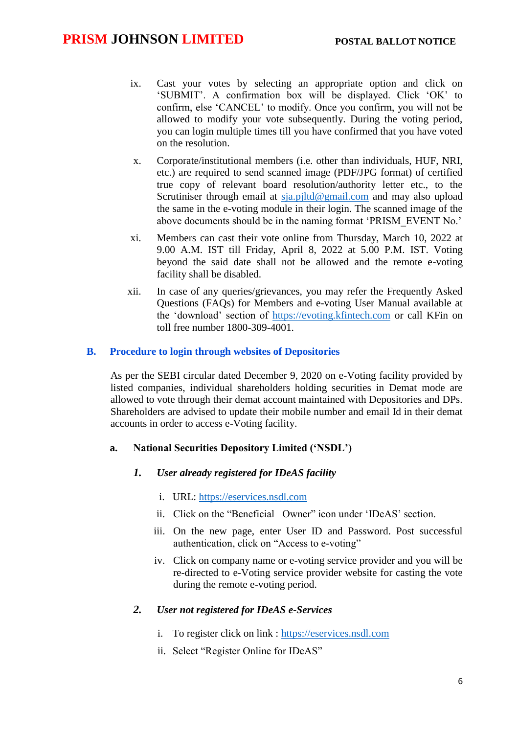- ix. Cast your votes by selecting an appropriate option and click on 'SUBMIT'. A confirmation box will be displayed. Click 'OK' to confirm, else 'CANCEL' to modify. Once you confirm, you will not be allowed to modify your vote subsequently. During the voting period, you can login multiple times till you have confirmed that you have voted on the resolution.
- x. Corporate/institutional members (i.e. other than individuals, HUF, NRI, etc.) are required to send scanned image (PDF/JPG format) of certified true copy of relevant board resolution/authority letter etc., to the Scrutiniser through email at [sja.pjltd@gmail.com](mailto:sja.pjltd@gmail.com) and may also upload the same in the e-voting module in their login. The scanned image of the above documents should be in the naming format 'PRISM\_EVENT No.'
- xi. Members can cast their vote online from Thursday, March 10, 2022 at 9.00 A.M. IST till Friday, April 8, 2022 at 5.00 P.M. IST. Voting beyond the said date shall not be allowed and the remote e-voting facility shall be disabled.
- xii. In case of any queries/grievances, you may refer the Frequently Asked Questions (FAQs) for Members and e-voting User Manual available at the 'download' section of [https://evoting.kfintech.com](https://evoting.kfintech.com/) or call KFin on toll free number 1800-309-4001.

#### **B. Procedure to login through websites of Depositories**

As per the SEBI circular dated December 9, 2020 on e-Voting facility provided by listed companies, individual shareholders holding securities in Demat mode are allowed to vote through their demat account maintained with Depositories and DPs. Shareholders are advised to update their mobile number and email Id in their demat accounts in order to access e-Voting facility.

#### **a. National Securities Depository Limited ('NSDL')**

- *1. User already registered for IDeAS facility*
	- i. URL: [https://eservices.nsdl.com](https://eservices.nsdl.com/)
	- ii. Click on the "Beneficial Owner" icon under 'IDeAS' section.
	- iii. On the new page, enter User ID and Password. Post successful authentication, click on "Access to e-voting"
	- iv. Click on company name or e-voting service provider and you will be re-directed to e-Voting service provider website for casting the vote during the remote e-voting period.

## *2. User not registered for IDeAS e-Services*

- i. To register click on link : [https://eservices.nsdl.com](https://eservices.nsdl.com/)
- ii. Select "Register Online for IDeAS"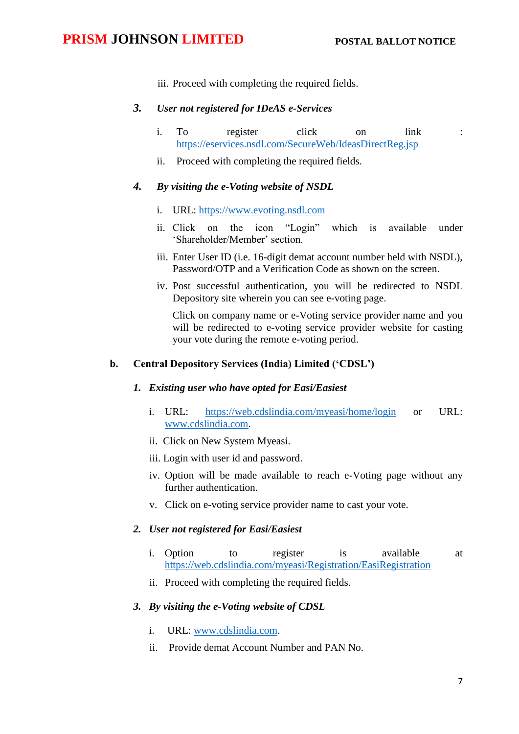iii. Proceed with completing the required fields.

### *3. User not registered for IDeAS e-Services*

- i. To register click on link : <https://eservices.nsdl.com/SecureWeb/IdeasDirectReg.jsp>
- ii. Proceed with completing the required fields.

# *4. By visiting the e-Voting website of NSDL*

- i. URL: [https://www.evoting.nsdl.com](https://www.evoting.nsdl.com/)
- ii. Click on the icon "Login" which is available under 'Shareholder/Member' section.
- iii. Enter User ID (i.e. 16-digit demat account number held with NSDL), Password/OTP and a Verification Code as shown on the screen.
- iv. Post successful authentication, you will be redirected to NSDL Depository site wherein you can see e-voting page.

Click on company name or e-Voting service provider name and you will be redirected to e-voting service provider website for casting your vote during the remote e-voting period.

#### **b. Central Depository Services (India) Limited ('CDSL')**

#### *1. Existing user who have opted for Easi/Easiest*

- i. URL: <https://web.cdslindia.com/myeasi/home/login> or URL: [www.cdslindia.com.](http://www.cdslindia.com/)
- ii. Click on New System Myeasi.
- iii. Login with user id and password.
- iv. Option will be made available to reach e-Voting page without any further authentication.
- v. Click on e-voting service provider name to cast your vote.

# *2. User not registered for Easi/Easiest*

- i. Option to register is available at <https://web.cdslindia.com/myeasi/Registration/EasiRegistration>
- ii. Proceed with completing the required fields.

# *3. By visiting the e-Voting website of CDSL*

- i. URL: [www.cdslindia.com.](http://www.cdslindia.com/)
- ii. Provide demat Account Number and PAN No.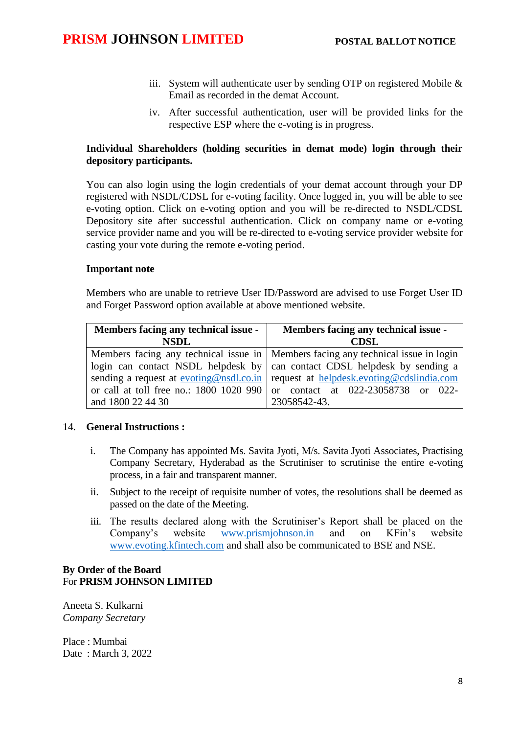- iii. System will authenticate user by sending OTP on registered Mobile  $\&$ Email as recorded in the demat Account.
- iv. After successful authentication, user will be provided links for the respective ESP where the e-voting is in progress.

# **Individual Shareholders (holding securities in demat mode) login through their depository participants.**

You can also login using the login credentials of your demat account through your DP registered with NSDL/CDSL for e-voting facility. Once logged in, you will be able to see e-voting option. Click on e-voting option and you will be re-directed to NSDL/CDSL Depository site after successful authentication. Click on company name or e-voting service provider name and you will be re-directed to e-voting service provider website for casting your vote during the remote e-voting period.

## **Important note**

Members who are unable to retrieve User ID/Password are advised to use Forget User ID and Forget Password option available at above mentioned website.

| Members facing any technical issue - | Members facing any technical issue -                                                |
|--------------------------------------|-------------------------------------------------------------------------------------|
| <b>NSDL</b>                          | CDSL                                                                                |
|                                      | Members facing any technical issue in   Members facing any technical issue in login |
|                                      | login can contact NSDL helpdesk by can contact CDSL helpdesk by sending a           |
|                                      | sending a request at evoting@nsdl.co.in request at helpdesk.evoting@cdslindia.com   |
|                                      | or call at toll free no.: $1800\ 1020\ 990$ or contact at $022-23058738$ or 022-    |
| and 1800 22 44 30                    | 23058542-43.                                                                        |

## 14. **General Instructions :**

- i. The Company has appointed Ms. Savita Jyoti, M/s. Savita Jyoti Associates, Practising Company Secretary, Hyderabad as the Scrutiniser to scrutinise the entire e-voting process, in a fair and transparent manner.
- ii. Subject to the receipt of requisite number of votes, the resolutions shall be deemed as passed on the date of the Meeting.
- iii. The results declared along with the Scrutiniser's Report shall be placed on the Company's website [www.prismjohnson.in](http://www.prismjohnson.in/) and on KFin's website [www.evoting.kfintech.com](http://www.evoting.kfintech.com/) and shall also be communicated to BSE and NSE.

# **By Order of the Board** For **PRISM JOHNSON LIMITED**

Aneeta S. Kulkarni *Company Secretary*

Place : Mumbai Date : March 3, 2022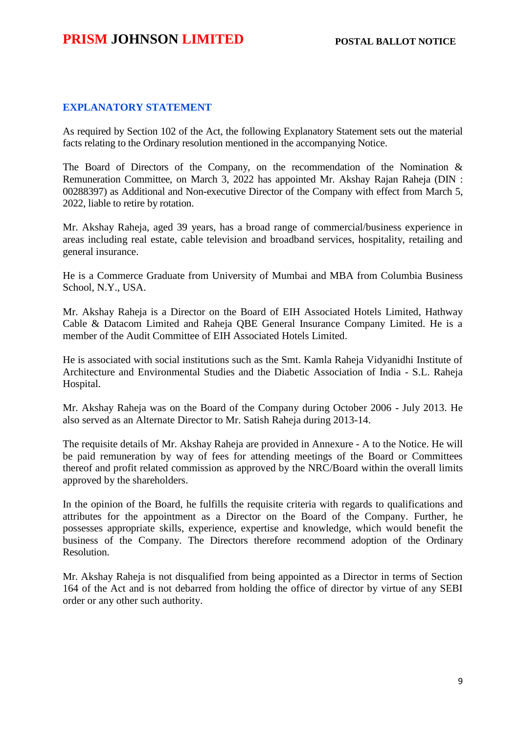## **EXPLANATORY STATEMENT**

As required by Section 102 of the Act, the following Explanatory Statement sets out the material facts relating to the Ordinary resolution mentioned in the accompanying Notice.

The Board of Directors of the Company, on the recommendation of the Nomination  $\&$ Remuneration Committee, on March 3, 2022 has appointed Mr. Akshay Rajan Raheja (DIN : 00288397) as Additional and Non-executive Director of the Company with effect from March 5, 2022, liable to retire by rotation.

Mr. Akshay Raheja, aged 39 years, has a broad range of commercial/business experience in areas including real estate, cable television and broadband services, hospitality, retailing and general insurance.

He is a Commerce Graduate from University of Mumbai and MBA from Columbia Business School, N.Y., USA.

Mr. Akshay Raheja is a Director on the Board of EIH Associated Hotels Limited, Hathway Cable & Datacom Limited and Raheja QBE General Insurance Company Limited. He is a member of the Audit Committee of EIH Associated Hotels Limited.

He is associated with social institutions such as the Smt. Kamla Raheja Vidyanidhi Institute of Architecture and Environmental Studies and the Diabetic Association of India - S.L. Raheja Hospital.

Mr. Akshay Raheja was on the Board of the Company during October 2006 - July 2013. He also served as an Alternate Director to Mr. Satish Raheja during 2013-14.

The requisite details of Mr. Akshay Raheja are provided in Annexure - A to the Notice. He will be paid remuneration by way of fees for attending meetings of the Board or Committees thereof and profit related commission as approved by the NRC/Board within the overall limits approved by the shareholders.

In the opinion of the Board, he fulfills the requisite criteria with regards to qualifications and attributes for the appointment as a Director on the Board of the Company. Further, he possesses appropriate skills, experience, expertise and knowledge, which would benefit the business of the Company. The Directors therefore recommend adoption of the Ordinary Resolution.

Mr. Akshay Raheja is not disqualified from being appointed as a Director in terms of Section 164 of the Act and is not debarred from holding the office of director by virtue of any SEBI order or any other such authority.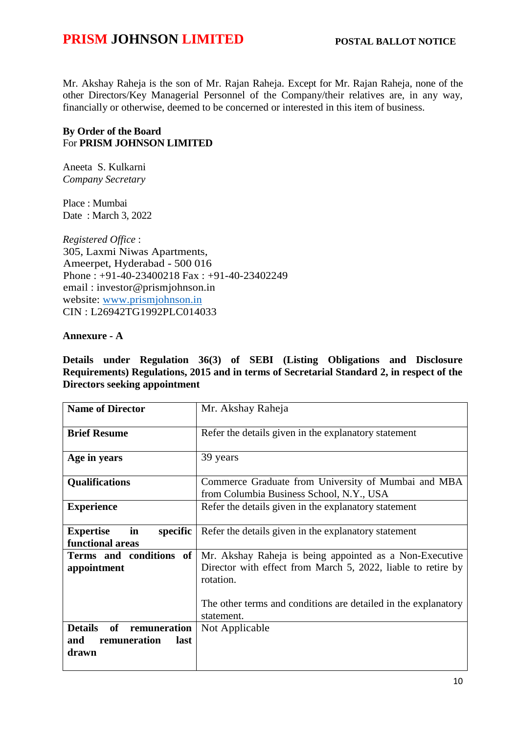Mr. Akshay Raheja is the son of Mr. Rajan Raheja. Except for Mr. Rajan Raheja, none of the other Directors/Key Managerial Personnel of the Company/their relatives are, in any way, financially or otherwise, deemed to be concerned or interested in this item of business.

# **By Order of the Board** For **PRISM JOHNSON LIMITED**

Aneeta S. Kulkarni *Company Secretary*

Place : Mumbai Date : March 3, 2022

*Registered Office* : 305, Laxmi Niwas Apartments, Ameerpet, Hyderabad - 500 016 Phone : +91-40-23400218 Fax : +91-40-23402249 email : investor@prismjohnson.in website: [www.prismjohnson.in](http://www.prismjohnson.in/)  CIN : L26942TG1992PLC014033

# **Annexure - A**

**Details under Regulation 36(3) of SEBI (Listing Obligations and Disclosure Requirements) Regulations, 2015 and in terms of Secretarial Standard 2, in respect of the Directors seeking appointment**

| <b>Name of Director</b>                                                             | Mr. Akshay Raheja                                                                                                                                                                                                    |
|-------------------------------------------------------------------------------------|----------------------------------------------------------------------------------------------------------------------------------------------------------------------------------------------------------------------|
| <b>Brief Resume</b>                                                                 | Refer the details given in the explanatory statement                                                                                                                                                                 |
| Age in years                                                                        | 39 years                                                                                                                                                                                                             |
| <b>Qualifications</b>                                                               | Commerce Graduate from University of Mumbai and MBA<br>from Columbia Business School, N.Y., USA                                                                                                                      |
| <b>Experience</b>                                                                   | Refer the details given in the explanatory statement                                                                                                                                                                 |
| in<br><b>Expertise</b><br>specific<br>functional areas                              | Refer the details given in the explanatory statement                                                                                                                                                                 |
| Terms and conditions of<br>appointment                                              | Mr. Akshay Raheja is being appointed as a Non-Executive<br>Director with effect from March 5, 2022, liable to retire by<br>rotation.<br>The other terms and conditions are detailed in the explanatory<br>statement. |
| <b>Details</b><br><b>of</b><br>remuneration<br>remuneration<br>and<br>last<br>drawn | Not Applicable                                                                                                                                                                                                       |